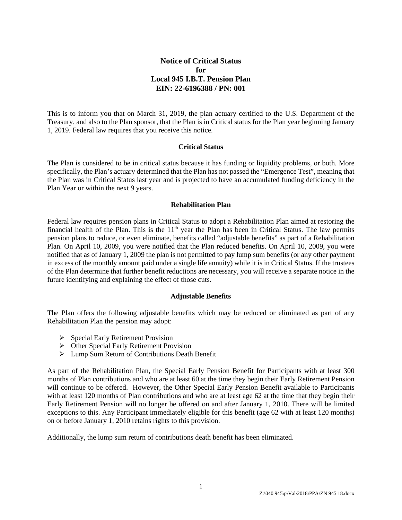# **Notice of Critical Status for Local 945 I.B.T. Pension Plan EIN: 22-6196388 / PN: 001**

This is to inform you that on March 31, 2019, the plan actuary certified to the U.S. Department of the Treasury, and also to the Plan sponsor, that the Plan is in Critical status for the Plan year beginning January 1, 2019. Federal law requires that you receive this notice.

#### **Critical Status**

The Plan is considered to be in critical status because it has funding or liquidity problems, or both. More specifically, the Plan's actuary determined that the Plan has not passed the "Emergence Test", meaning that the Plan was in Critical Status last year and is projected to have an accumulated funding deficiency in the Plan Year or within the next 9 years.

#### **Rehabilitation Plan**

Federal law requires pension plans in Critical Status to adopt a Rehabilitation Plan aimed at restoring the financial health of the Plan. This is the  $11<sup>th</sup>$  year the Plan has been in Critical Status. The law permits pension plans to reduce, or even eliminate, benefits called "adjustable benefits" as part of a Rehabilitation Plan. On April 10, 2009, you were notified that the Plan reduced benefits. On April 10, 2009, you were notified that as of January 1, 2009 the plan is not permitted to pay lump sum benefits (or any other payment in excess of the monthly amount paid under a single life annuity) while it is in Critical Status. If the trustees of the Plan determine that further benefit reductions are necessary, you will receive a separate notice in the future identifying and explaining the effect of those cuts.

## **Adjustable Benefits**

The Plan offers the following adjustable benefits which may be reduced or eliminated as part of any Rehabilitation Plan the pension may adopt:

- $\triangleright$  Special Early Retirement Provision
- Other Special Early Retirement Provision
- Lump Sum Return of Contributions Death Benefit

As part of the Rehabilitation Plan, the Special Early Pension Benefit for Participants with at least 300 months of Plan contributions and who are at least 60 at the time they begin their Early Retirement Pension will continue to be offered. However, the Other Special Early Pension Benefit available to Participants with at least 120 months of Plan contributions and who are at least age 62 at the time that they begin their Early Retirement Pension will no longer be offered on and after January 1, 2010. There will be limited exceptions to this. Any Participant immediately eligible for this benefit (age 62 with at least 120 months) on or before January 1, 2010 retains rights to this provision.

Additionally, the lump sum return of contributions death benefit has been eliminated.